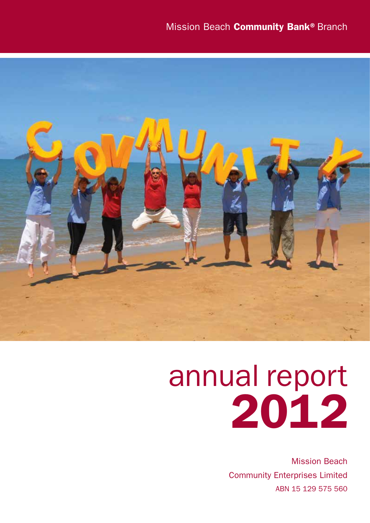## Mission Beach Community Bank® Branch



# annual report 2012

Mission Beach Community Enterprises Limited ABN 15 129 575 560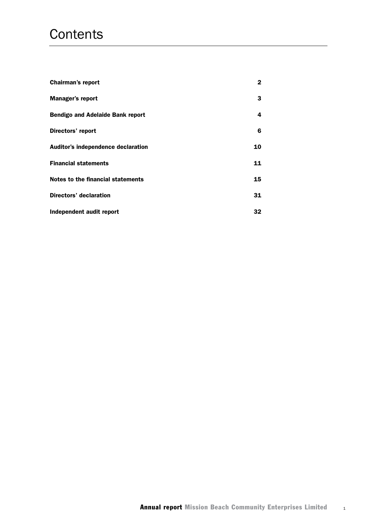## **Contents**

| <b>Chairman's report</b>                | 2  |
|-----------------------------------------|----|
| <b>Manager's report</b>                 | 3  |
| <b>Bendigo and Adelaide Bank report</b> | 4  |
| Directors' report                       | 6  |
| Auditor's independence declaration      | 10 |
| <b>Financial statements</b>             | 11 |
| Notes to the financial statements       | 15 |
| Directors' declaration                  | 31 |
| Independent audit report                | 32 |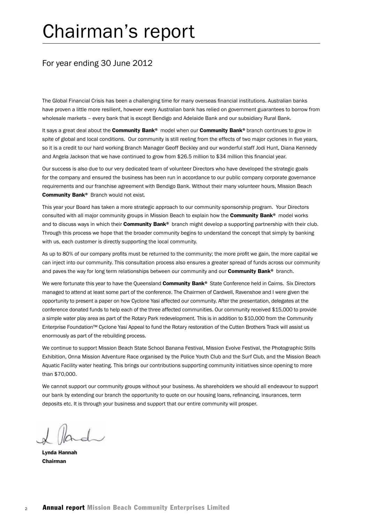## Chairman's report

## For year ending 30 June 2012

The Global Financial Crisis has been a challenging time for many overseas financial institutions. Australian banks have proven a little more resilient, however every Australian bank has relied on government guarantees to borrow from wholesale markets – every bank that is except Bendigo and Adelaide Bank and our subsidiary Rural Bank.

It says a great deal about the **Community Bank®** model when our **Community Bank®** branch continues to grow in spite of global and local conditions. Our community is still reeling from the effects of two major cyclones in five years, so it is a credit to our hard working Branch Manager Geoff Beckley and our wonderful staff Jodi Hunt, Diana Kennedy and Angela Jackson that we have continued to grow from \$26.5 million to \$34 million this financial year.

Our success is also due to our very dedicated team of volunteer Directors who have developed the strategic goals for the company and ensured the business has been run in accordance to our public company corporate governance requirements and our franchise agreement with Bendigo Bank. Without their many volunteer hours, Mission Beach Community Bank® Branch would not exist.

This year your Board has taken a more strategic approach to our community sponsorship program. Your Directors consulted with all major community groups in Mission Beach to explain how the **Community Bank®** model works and to discuss ways in which their **Community Bank®** branch might develop a supporting partnership with their club. Through this process we hope that the broader community begins to understand the concept that simply by banking with us, each customer is directly supporting the local community.

As up to 80% of our company profits must be returned to the community; the more profit we gain, the more capital we can inject into our community. This consultation process also ensures a greater spread of funds across our community and paves the way for long term relationships between our community and our **Community Bank®** branch.

We were fortunate this year to have the Queensland Community Bank<sup>®</sup> State Conference held in Cairns. Six Directors managed to attend at least some part of the conference. The Chairmen of Cardwell, Ravenshoe and I were given the opportunity to present a paper on how Cyclone Yasi affected our community. After the presentation, delegates at the conference donated funds to help each of the three affected communities. Our community received \$15,000 to provide a simple water play area as part of the Rotary Park redevelopment. This is in addition to \$10,000 from the Community Enterprise Foundation™ Cyclone Yasi Appeal to fund the Rotary restoration of the Cutten Brothers Track will assist us enormously as part of the rebuilding process.

We continue to support Mission Beach State School Banana Festival, Mission Evolve Festival, the Photographic Stills Exhibition, Onna Mission Adventure Race organised by the Police Youth Club and the Surf Club, and the Mission Beach Aquatic Facility water heating. This brings our contributions supporting community initiatives since opening to more than \$70,000.

We cannot support our community groups without your business. As shareholders we should all endeavour to support our bank by extending our branch the opportunity to quote on our housing loans, refinancing, insurances, term deposits etc. It is through your business and support that our entire community will prosper.

Lynda Hannah Chairman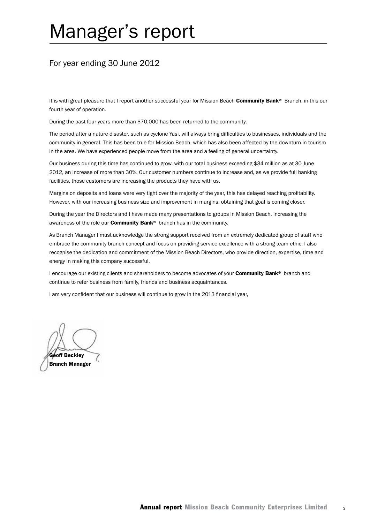## Manager's report

## For year ending 30 June 2012

It is with great pleasure that I report another successful year for Mission Beach Community Bank® Branch, in this our fourth year of operation.

During the past four years more than \$70,000 has been returned to the community.

The period after a nature disaster, such as cyclone Yasi, will always bring difficulties to businesses, individuals and the community in general. This has been true for Mission Beach, which has also been affected by the downturn in tourism in the area. We have experienced people move from the area and a feeling of general uncertainty.

Our business during this time has continued to grow, with our total business exceeding \$34 million as at 30 June 2012, an increase of more than 30%. Our customer numbers continue to increase and, as we provide full banking facilities, those customers are increasing the products they have with us.

Margins on deposits and loans were very tight over the majority of the year, this has delayed reaching profitability. However, with our increasing business size and improvement in margins, obtaining that goal is coming closer.

During the year the Directors and I have made many presentations to groups in Mission Beach, increasing the awareness of the role our **Community Bank®** branch has in the community.

As Branch Manager I must acknowledge the strong support received from an extremely dedicated group of staff who embrace the community branch concept and focus on providing service excellence with a strong team ethic. I also recognise the dedication and commitment of the Mission Beach Directors, who provide direction, expertise, time and energy in making this company successful.

I encourage our existing clients and shareholders to become advocates of your Community Bank® branch and continue to refer business from family, friends and business acquaintances.

I am very confident that our business will continue to grow in the 2013 financial year,

Geoff Beckley Branch Manager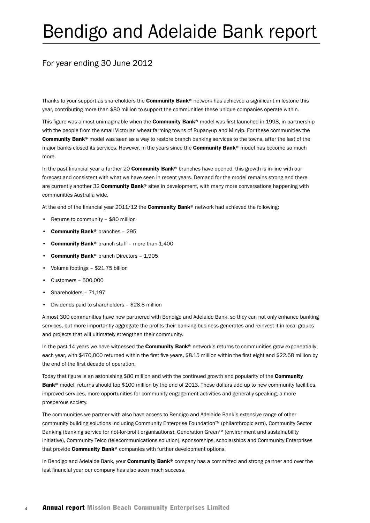## Bendigo and Adelaide Bank report

## For year ending 30 June 2012

Thanks to your support as shareholders the **Community Bank®** network has achieved a significant milestone this year, contributing more than \$80 million to support the communities these unique companies operate within.

This figure was almost unimaginable when the **Community Bank®** model was first launched in 1998, in partnership with the people from the small Victorian wheat farming towns of Rupanyup and Minyip. For these communities the Community Bank® model was seen as a way to restore branch banking services to the towns, after the last of the major banks closed its services. However, in the years since the **Community Bank®** model has become so much more.

In the past financial year a further 20 Community Bank<sup>®</sup> branches have opened, this growth is in-line with our forecast and consistent with what we have seen in recent years. Demand for the model remains strong and there are currently another 32 Community Bank® sites in development, with many more conversations happening with communities Australia wide.

At the end of the financial year  $2011/12$  the **Community Bank®** network had achieved the following:

- Returns to community \$80 million
- Community Bank<sup>®</sup> branches 295
- Community Bank® branch staff more than 1,400
- Community Bank® branch Directors 1,905
- Volume footings \$21.75 billion
- Customers 500,000
- Shareholders 71,197
- Dividends paid to shareholders \$28.8 million

Almost 300 communities have now partnered with Bendigo and Adelaide Bank, so they can not only enhance banking services, but more importantly aggregate the profits their banking business generates and reinvest it in local groups and projects that will ultimately strengthen their community.

In the past 14 years we have witnessed the **Community Bank®** network's returns to communities grow exponentially each year, with \$470,000 returned within the first five years, \$8.15 million within the first eight and \$22.58 million by the end of the first decade of operation.

Today that figure is an astonishing \$80 million and with the continued growth and popularity of the Community Bank<sup>®</sup> model, returns should top \$100 million by the end of 2013. These dollars add up to new community facilities, improved services, more opportunities for community engagement activities and generally speaking, a more prosperous society.

The communities we partner with also have access to Bendigo and Adelaide Bank's extensive range of other community building solutions including Community Enterprise Foundation™ (philanthropic arm), Community Sector Banking (banking service for not-for-profit organisations), Generation Green™ (environment and sustainability initiative), Community Telco (telecommunications solution), sponsorships, scholarships and Community Enterprises that provide **Community Bank®** companies with further development options.

In Bendigo and Adelaide Bank, your **Community Bank®** company has a committed and strong partner and over the last financial year our company has also seen much success.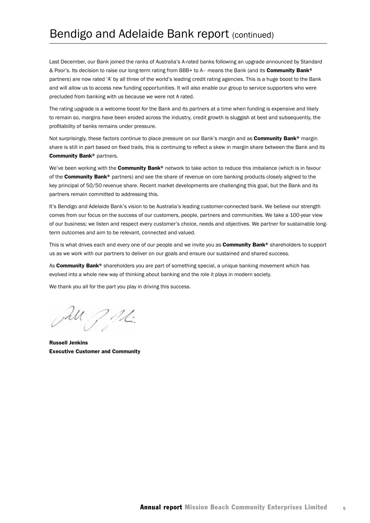Last December, our Bank joined the ranks of Australia's A-rated banks following an upgrade announced by Standard & Poor's. Its decision to raise our long-term rating from BBB+ to A- means the Bank (and its Community Bank® partners) are now rated 'A' by all three of the world's leading credit rating agencies. This is a huge boost to the Bank and will allow us to access new funding opportunities. It will also enable our group to service supporters who were precluded from banking with us because we were not A rated.

The rating upgrade is a welcome boost for the Bank and its partners at a time when funding is expensive and likely to remain so, margins have been eroded across the industry, credit growth is sluggish at best and subsequently, the profitability of banks remains under pressure.

Not surprisingly, these factors continue to place pressure on our Bank's margin and as **Community Bank®** margin share is still in part based on fixed trails, this is continuing to reflect a skew in margin share between the Bank and its Community Bank<sup>®</sup> partners.

We've been working with the **Community Bank®** network to take action to reduce this imbalance (which is in favour of the Community Bank® partners) and see the share of revenue on core banking products closely aligned to the key principal of 50/50 revenue share. Recent market developments are challenging this goal, but the Bank and its partners remain committed to addressing this.

It's Bendigo and Adelaide Bank's vision to be Australia's leading customer-connected bank. We believe our strength comes from our focus on the success of our customers, people, partners and communities. We take a 100-year view of our business; we listen and respect every customer's choice, needs and objectives. We partner for sustainable longterm outcomes and aim to be relevant, connected and valued.

This is what drives each and every one of our people and we invite you as **Community Bank®** shareholders to support us as we work with our partners to deliver on our goals and ensure our sustained and shared success.

As **Community Bank®** shareholders you are part of something special, a unique banking movement which has evolved into a whole new way of thinking about banking and the role it plays in modern society.

We thank you all for the part you play in driving this success.

Ju Jak.

Russell Jenkins Executive Customer and Community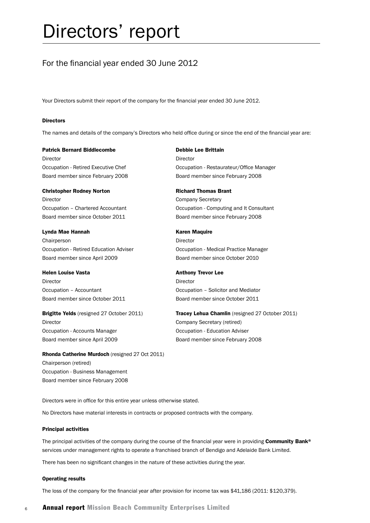## Directors' report

## For the financial year ended 30 June 2012

Your Directors submit their report of the company for the financial year ended 30 June 2012.

#### **Directors**

The names and details of the company's Directors who held office during or since the end of the financial year are:

#### Patrick Bernard Biddlecombe

Director Occupation - Retired Executive Chef Board member since February 2008

#### Christopher Rodney Norton

Director Occupation – Chartered Accountant Board member since October 2011

#### Lynda Mae Hannah Chairperson Occupation - Retired Education Adviser Board member since April 2009

Helen Louise Vasta Director Occupation – Accountant Board member since October 2011

Brigitte Yelds (resigned 27 October 2011) Director Occupation - Accounts Manager Board member since April 2009

Rhonda Catherine Murdoch (resigned 27 Oct 2011) Chairperson (retired) Occupation - Business Management Board member since February 2008

Debbie Lee Brittain

Director Occupation - Restaurateur/Office Manager Board member since February 2008

#### Richard Thomas Brant

Company Secretary Occupation - Computing and It Consultant Board member since February 2008

#### Karen Maquire

Director Occupation - Medical Practice Manager Board member since October 2010

#### Anthony Trevor Lee

Director Occupation – Solicitor and Mediator Board member since October 2011

Tracey Lehua Chamlin (resigned 27 October 2011) Company Secretary (retired) Occupation - Education Adviser Board member since February 2008

Directors were in office for this entire year unless otherwise stated.

No Directors have material interests in contracts or proposed contracts with the company.

#### Principal activities

The principal activities of the company during the course of the financial year were in providing **Community Bank®** services under management rights to operate a franchised branch of Bendigo and Adelaide Bank Limited.

There has been no significant changes in the nature of these activities during the year.

#### Operating results

The loss of the company for the financial year after provision for income tax was \$41,186 (2011: \$120,379).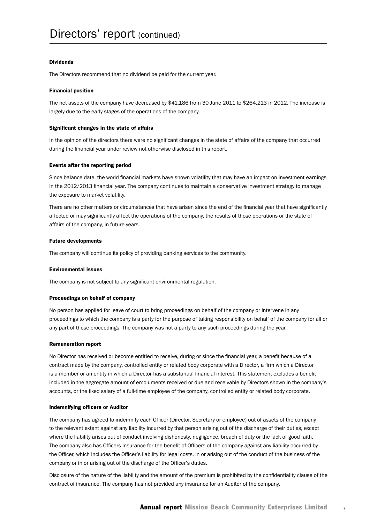#### Dividends

The Directors recommend that no dividend be paid for the current year.

#### Financial position

The net assets of the company have decreased by \$41,186 from 30 June 2011 to \$264,213 in 2012. The increase is largely due to the early stages of the operations of the company.

#### Significant changes in the state of affairs

In the opinion of the directors there were no significant changes in the state of affairs of the company that occurred during the financial year under review not otherwise disclosed in this report.

#### Events after the reporting period

Since balance date, the world financial markets have shown volatility that may have an impact on investment earnings in the 2012/2013 financial year. The company continues to maintain a conservative investment strategy to manage the exposure to market volatility.

There are no other matters or circumstances that have arisen since the end of the financial year that have significantly affected or may significantly affect the operations of the company, the results of those operations or the state of affairs of the company, in future years.

#### Future developments

The company will continue its policy of providing banking services to the community.

#### Environmental issues

The company is not subject to any significant environmental regulation.

#### Proceedings on behalf of company

No person has applied for leave of court to bring proceedings on behalf of the company or intervene in any proceedings to which the company is a party for the purpose of taking responsibility on behalf of the company for all or any part of those proceedings. The company was not a party to any such proceedings during the year.

#### Remuneration report

No Director has received or become entitled to receive, during or since the financial year, a benefit because of a contract made by the company, controlled entity or related body corporate with a Director, a firm which a Director is a member or an entity in which a Director has a substantial financial interest. This statement excludes a benefit included in the aggregate amount of emoluments received or due and receivable by Directors shown in the company's accounts, or the fixed salary of a full-time employee of the company, controlled entity or related body corporate.

#### Indemnifying officers or Auditor

The company has agreed to indemnify each Officer (Director, Secretary or employee) out of assets of the company to the relevant extent against any liability incurred by that person arising out of the discharge of their duties, except where the liability arises out of conduct involving dishonesty, negligence, breach of duty or the lack of good faith. The company also has Officers Insurance for the benefit of Officers of the company against any liability occurred by the Officer, which includes the Officer's liability for legal costs, in or arising out of the conduct of the business of the company or in or arising out of the discharge of the Officer's duties.

Disclosure of the nature of the liability and the amount of the premium is prohibited by the confidentiality clause of the contract of insurance. The company has not provided any insurance for an Auditor of the company.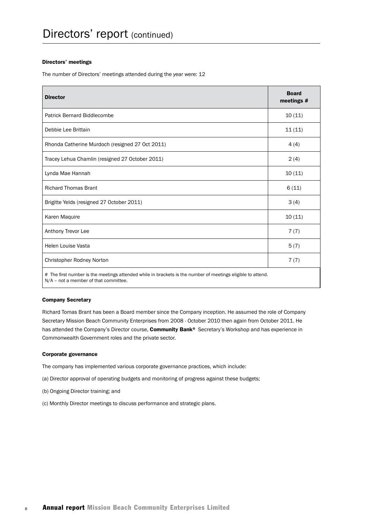#### Directors' meetings

The number of Directors' meetings attended during the year were: 12

| <b>Director</b>                                                                                                                                      | <b>Board</b><br>meetings # |
|------------------------------------------------------------------------------------------------------------------------------------------------------|----------------------------|
| <b>Patrick Bernard Biddlecombe</b>                                                                                                                   | 10(11)                     |
| Debbie Lee Brittain                                                                                                                                  | 11(11)                     |
| Rhonda Catherine Murdoch (resigned 27 Oct 2011)                                                                                                      | 4(4)                       |
| Tracey Lehua Chamlin (resigned 27 October 2011)                                                                                                      | 2(4)                       |
| Lynda Mae Hannah                                                                                                                                     | 10(11)                     |
| <b>Richard Thomas Brant</b>                                                                                                                          | 6(11)                      |
| Brigitte Yelds (resigned 27 October 2011)                                                                                                            | 3(4)                       |
| Karen Maquire                                                                                                                                        | 10(11)                     |
| Anthony Trevor Lee                                                                                                                                   | 7(7)                       |
| <b>Helen Louise Vasta</b>                                                                                                                            | 5(7)                       |
| <b>Christopher Rodney Norton</b>                                                                                                                     | 7(7)                       |
| # The first number is the meetings attended while in brackets is the number of meetings eligible to attend.<br>N/A - not a member of that committee. |                            |

#### Company Secretary

Richard Tomas Brant has been a Board member since the Company inception. He assumed the role of Company Secretary Mission Beach Community Enterprises from 2008 - October 2010 then again from October 2011. He has attended the Company's Director course, **Community Bank®** Secretary's Workshop and has experience in Commonwealth Government roles and the private sector.

#### Corporate governance

The company has implemented various corporate governance practices, which include:

- (a) Director approval of operating budgets and monitoring of progress against these budgets;
- (b) Ongoing Director training; and
- (c) Monthly Director meetings to discuss performance and strategic plans.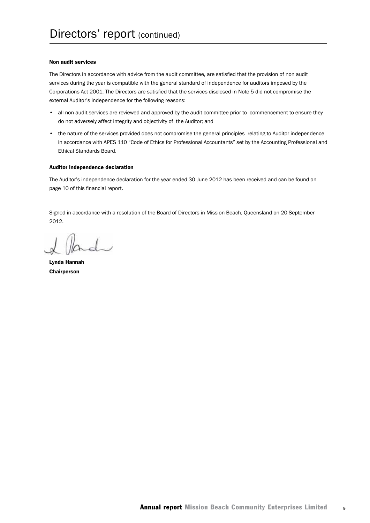#### Non audit services

The Directors in accordance with advice from the audit committee, are satisfied that the provision of non audit services during the year is compatible with the general standard of independence for auditors imposed by the Corporations Act 2001. The Directors are satisfied that the services disclosed in Note 5 did not compromise the external Auditor's independence for the following reasons:

- all non audit services are reviewed and approved by the audit committee prior to commencement to ensure they do not adversely affect integrity and objectivity of the Auditor; and
- the nature of the services provided does not compromise the general principles relating to Auditor independence in accordance with APES 110 "Code of Ethics for Professional Accountants" set by the Accounting Professional and Ethical Standards Board.

#### Auditor independence declaration

The Auditor's independence declaration for the year ended 30 June 2012 has been received and can be found on page 10 of this financial report.

Signed in accordance with a resolution of the Board of Directors in Mission Beach, Queensland on 20 September 2012.

Lynda Hannah Chairperson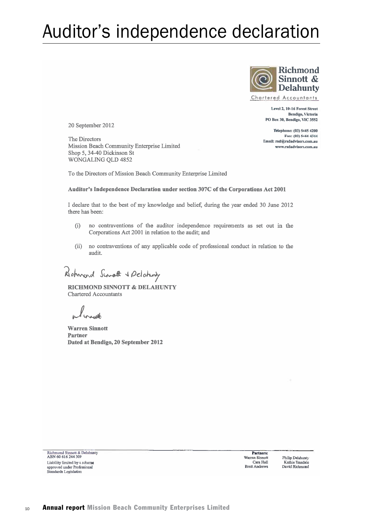## Auditor's independence declaration



Level 2, 10-16 Forest Street Bendigo, Victoria PO Box 30, Bendigo, VIC 3552

Telephone: (03) 5445 4200 Fax: (03) 5444 4344 Email: rsd@rsdadvisors.com.au www.rsdadvisors.com.au

20 September 2012

The Directors Mission Beach Community Enterprise Limited Shop 5, 34-40 Dickinson St WONGALING QLD 4852

To the Directors of Mission Beach Community Enterprise Limited

#### Auditor's Independence Declaration under section 307C of the Corporations Act 2001

I declare that to the best of my knowledge and belief, during the year ended 30 June 2012 there has been:

- no contraventions of the auditor independence requirements as set out in the  $(i)$ Corporations Act 2001 in relation to the audit; and
- (ii) no contraventions of any applicable code of professional conduct in relation to the audit.

Rehnand Singt & Pelching

RICHMOND SINNOTT & DELAHUNTY **Chartered Accountants** 

**Warren Sinnott** Partner Dated at Bendigo, 20 September 2012

Richmond Sinnott & Delahunty<br>ABN 60 616 244 309 Liability limited by a scheme approved under Professional Standards Legislation

Partners: Warren Sinnott Philip Delahunty Cara Hall Kathie Teasdale **Brett Andrews** David Richmond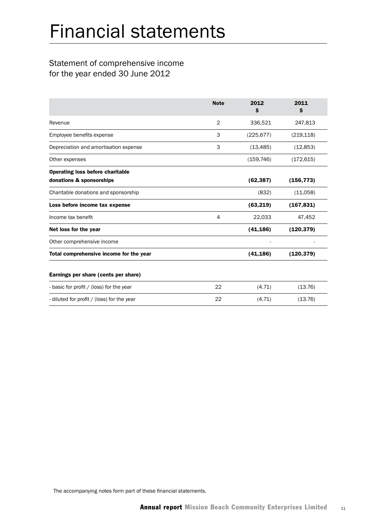## Statement of comprehensive income for the year ended 30 June 2012

| <b>Note</b>    | 2012<br>Ŝ  | 2011<br>S  |
|----------------|------------|------------|
| $\overline{2}$ | 336,521    | 247,813    |
| 3              | (225, 677) | (219, 118) |
| 3              | (13, 485)  | (12, 853)  |
|                | (159, 746) | (172, 615) |
|                |            |            |
|                | (62, 387)  | (156, 773) |
|                | (832)      | (11,058)   |
|                | (63, 219)  | (167, 831) |
| $\overline{4}$ | 22,033     | 47,452     |
|                | (41, 186)  | (120, 379) |
|                |            |            |
|                | (41, 186)  | (120, 379) |
|                |            |            |
| 22             | (4.71)     | (13.76)    |
| 22             | (4.71)     | (13.76)    |
|                |            |            |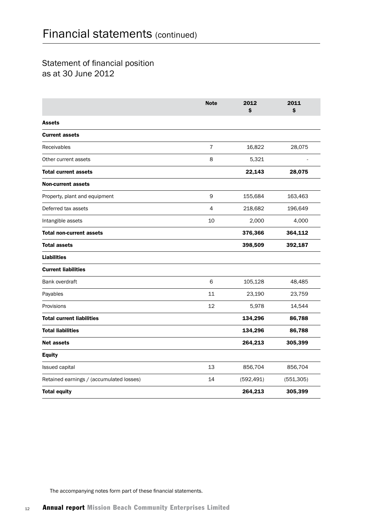## Statement of financial position as at 30 June 2012

|                                          | <b>Note</b>    | 2012<br>\$ | 2011<br>Ś  |
|------------------------------------------|----------------|------------|------------|
| <b>Assets</b>                            |                |            |            |
| <b>Current assets</b>                    |                |            |            |
| Receivables                              | $\overline{7}$ | 16,822     | 28,075     |
| Other current assets                     | 8              | 5,321      |            |
| <b>Total current assets</b>              |                | 22,143     | 28,075     |
| <b>Non-current assets</b>                |                |            |            |
| Property, plant and equipment            | 9              | 155,684    | 163,463    |
| Deferred tax assets                      | 4              | 218,682    | 196,649    |
| Intangible assets                        | 10             | 2,000      | 4,000      |
| <b>Total non-current assets</b>          |                | 376,366    | 364,112    |
| <b>Total assets</b>                      |                | 398,509    | 392,187    |
| <b>Liabilities</b>                       |                |            |            |
| <b>Current liabilities</b>               |                |            |            |
| Bank overdraft                           | 6              | 105,128    | 48,485     |
| Payables                                 | 11             | 23,190     | 23,759     |
| Provisions                               | 12             | 5,978      | 14,544     |
| <b>Total current liabilities</b>         |                | 134,296    | 86,788     |
| <b>Total liabilities</b>                 |                | 134,296    | 86,788     |
| <b>Net assets</b>                        |                | 264,213    | 305,399    |
| <b>Equity</b>                            |                |            |            |
| Issued capital                           | 13             | 856,704    | 856,704    |
| Retained earnings / (accumulated losses) | 14             | (592, 491) | (551, 305) |
| <b>Total equity</b>                      |                | 264,213    | 305,399    |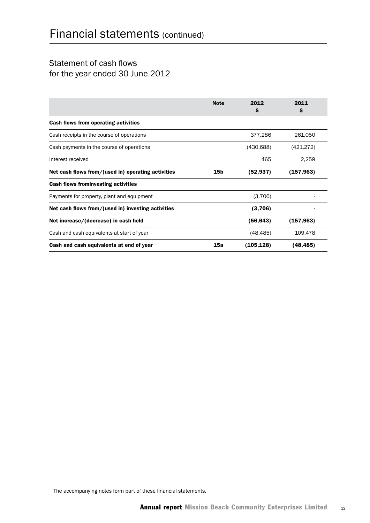## Statement of cash flows for the year ended 30 June 2012

|                                                    | <b>Note</b> | 2012<br>\$ | 2011<br>\$ |
|----------------------------------------------------|-------------|------------|------------|
| Cash flows from operating activities               |             |            |            |
| Cash receipts in the course of operations          |             | 377,286    | 261,050    |
| Cash payments in the course of operations          |             | (430, 688) | (421, 272) |
| Interest received                                  |             | 465        | 2,259      |
| Net cash flows from/(used in) operating activities | 15b         | (52, 937)  | (157, 963) |
| <b>Cash flows frominvesting activities</b>         |             |            |            |
| Payments for property, plant and equipment         |             | (3,706)    |            |
| Net cash flows from/(used in) investing activities |             | (3,706)    |            |
| Net increase/(decrease) in cash held               |             | (56, 643)  | (157, 963) |
| Cash and cash equivalents at start of year         |             | (48, 485)  | 109,478    |
| Cash and cash equivalents at end of year           | 15a         | (105, 128) | (48, 485)  |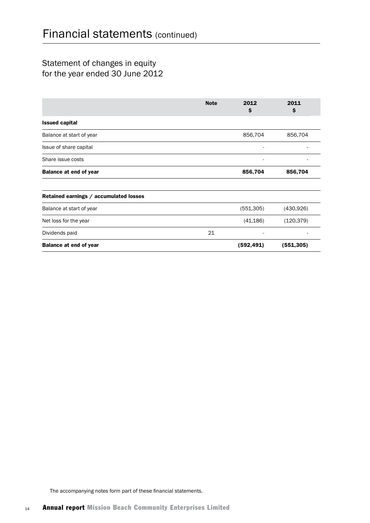## Statement of changes in equity for the year ended 30 June 2012

|                                        | <b>Note</b> | 2012<br>\$ | 2011<br>\$ |
|----------------------------------------|-------------|------------|------------|
| <b>Issued capital</b>                  |             |            |            |
| Balance at start of year               |             | 856,704    | 856,704    |
| Issue of share capital                 |             |            |            |
| Share issue costs                      |             |            |            |
| <b>Balance at end of year</b>          |             | 856,704    | 856,704    |
|                                        |             |            |            |
| Retained earnings / accumulated losses |             |            |            |
| Balance at start of year               |             | (551, 305) | (430, 926) |
| Net loss for the year                  |             | (41, 186)  | (120, 379) |
| Dividends paid                         | 21          |            |            |
| <b>Balance at end of year</b>          |             | (592, 491) | (551, 305) |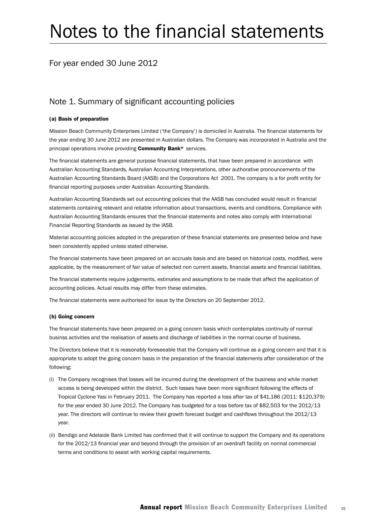## Notes to the financial statements

## For year ended 30 June 2012

## Note 1. Summary of significant accounting policies

#### (a) Basis of preparation

Mission Beach Community Enterprises Limited ('the Company') is domiciled in Australia. The financial statements for the year ending 30 June 2012 are presented in Australian dollars. The Company was incorporated in Australia and the principal operations involve providing **Community Bank®** services.

The financial statements are general purpose financial statements, that have been prepared in accordance with Australian Accounting Standards, Australian Accounting Interpretations, other authorative pronouncements of the Australian Accounting Standards Board (AASB) and the Corporations Act 2001. The company is a for profit entity for financial reporting purposes under Australian Accounting Standards.

Australian Accounting Standards set out accounting policies that the AASB has concluded would result in financial statements containing relevant and reliable information about transactions, events and conditions. Compliance with Australian Accounting Standards ensures that the financial statements and notes also comply with International Financial Reporting Standards as issued by the IASB.

Material accounting policies adopted in the preparation of these financial statements are presented below and have been consistently applied unless stated otherwise.

The financial statements have been prepared on an accruals basis and are based on historical costs, modified, were applicable, by the measurement of fair value of selected non current assets, financial assets and financial liabilities.

The financial statements require judgements, estimates and assumptions to be made that affect the application of accounting policies. Actual results may differ from these estimates.

The financial statements were authorised for issue by the Directors on 20 September 2012.

#### (b) Going concern

The financial statements have been prepared on a going concern basis which contemplates continuity of normal businss activities and the realisation of assets and discharge of liabilities in the normal course of business.

The Directors believe that it is reasonably foreseeable that the Company will continue as a going concern and that it is appropriate to adopt the going concern basis in the preparation of the financial statements after consideration of the following:

- (i) The Company recognises that losses will be incurred during the development of the business and while market access is being developed within the district. Such losses have been more significant following the effects of Tropical Cyclone Yasi in February 2011. The Company has reported a loss after tax of \$41,186 (2011: \$120,379) for the year ended 30 June 2012. The Company has budgeted for a loss before tax of \$82,503 for the 2012/13 year. The directors will continue to review their growth forecast budget and cashflows throughout the 2012/13 year.
- (ii) Bendigo and Adelaide Bank Limited has confirmed that it will continue to support the Company and its operations for the 2012/13 financial year and beyond through the provision of an overdraft facility on normal commercial terms and conditions to assist with working capital requirements.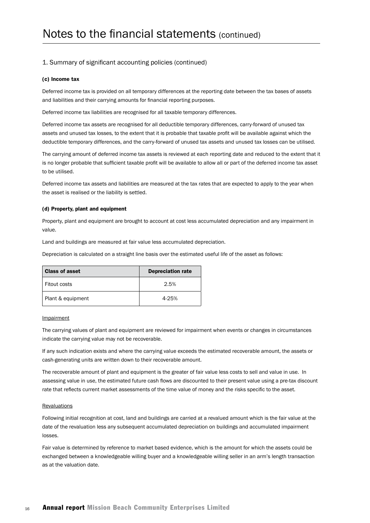#### (c) Income tax

Deferred income tax is provided on all temporary differences at the reporting date between the tax bases of assets and liabilities and their carrying amounts for financial reporting purposes.

Deferred income tax liabilities are recognised for all taxable temporary differences.

Deferred income tax assets are recognised for all deductible temporary differences, carry-forward of unused tax assets and unused tax losses, to the extent that it is probable that taxable profit will be available against which the deductible temporary differences, and the carry-forward of unused tax assets and unused tax losses can be utilised.

The carrying amount of deferred income tax assets is reviewed at each reporting date and reduced to the extent that it is no longer probable that sufficient taxable profit will be available to allow all or part of the deferred income tax asset to be utilised.

Deferred income tax assets and liabilities are measured at the tax rates that are expected to apply to the year when the asset is realised or the liability is settled.

#### (d) Property, plant and equipment

Property, plant and equipment are brought to account at cost less accumulated depreciation and any impairment in value.

Land and buildings are measured at fair value less accumulated depreciation.

Depreciation is calculated on a straight line basis over the estimated useful life of the asset as follows:

| <b>Class of asset</b> | <b>Depreciation rate</b> |
|-----------------------|--------------------------|
| Fitout costs          | 2.5%                     |
| Plant & equipment     | $4 - 25%$                |

#### **Impairment**

The carrying values of plant and equipment are reviewed for impairment when events or changes in circumstances indicate the carrying value may not be recoverable.

If any such indication exists and where the carrying value exceeds the estimated recoverable amount, the assets or cash-generating units are written down to their recoverable amount.

The recoverable amount of plant and equipment is the greater of fair value less costs to sell and value in use. In assessing value in use, the estimated future cash flows are discounted to their present value using a pre-tax discount rate that reflects current market assessments of the time value of money and the risks specific to the asset.

#### **Revaluations**

Following initial recognition at cost, land and buildings are carried at a revalued amount which is the fair value at the date of the revaluation less any subsequent accumulated depreciation on buildings and accumulated impairment losses.

Fair value is determined by reference to market based evidence, which is the amount for which the assets could be exchanged between a knowledgeable willing buyer and a knowledgeable willing seller in an arm's length transaction as at the valuation date.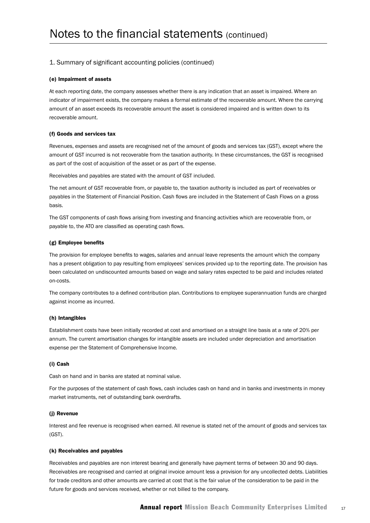#### (e) Impairment of assets

At each reporting date, the company assesses whether there is any indication that an asset is impaired. Where an indicator of impairment exists, the company makes a formal estimate of the recoverable amount. Where the carrying amount of an asset exceeds its recoverable amount the asset is considered impaired and is written down to its recoverable amount.

#### (f) Goods and services tax

Revenues, expenses and assets are recognised net of the amount of goods and services tax (GST), except where the amount of GST incurred is not recoverable from the taxation authority. In these circumstances, the GST is recognised as part of the cost of acquisition of the asset or as part of the expense.

Receivables and payables are stated with the amount of GST included.

The net amount of GST recoverable from, or payable to, the taxation authority is included as part of receivables or payables in the Statement of Financial Position. Cash flows are included in the Statement of Cash Flows on a gross basis.

The GST components of cash flows arising from investing and financing activities which are recoverable from, or payable to, the ATO are classified as operating cash flows.

#### (g) Employee benefits

The provision for employee benefits to wages, salaries and annual leave represents the amount which the company has a present obligation to pay resulting from employees' services provided up to the reporting date. The provision has been calculated on undiscounted amounts based on wage and salary rates expected to be paid and includes related on-costs.

The company contributes to a defined contribution plan. Contributions to employee superannuation funds are charged against income as incurred.

#### (h) Intangibles

Establishment costs have been initially recorded at cost and amortised on a straight line basis at a rate of 20% per annum. The current amortisation changes for intangible assets are included under depreciation and amortisation expense per the Statement of Comprehensive Income.

#### (i) Cash

Cash on hand and in banks are stated at nominal value.

For the purposes of the statement of cash flows, cash includes cash on hand and in banks and investments in money market instruments, net of outstanding bank overdrafts.

#### (j) Revenue

Interest and fee revenue is recognised when earned. All revenue is stated net of the amount of goods and services tax (GST).

#### (k) Receivables and payables

Receivables and payables are non interest bearing and generally have payment terms of between 30 and 90 days. Receivables are recognised and carried at original invoice amount less a provision for any uncollected debts. Liabilities for trade creditors and other amounts are carried at cost that is the fair value of the consideration to be paid in the future for goods and services received, whether or not billed to the company.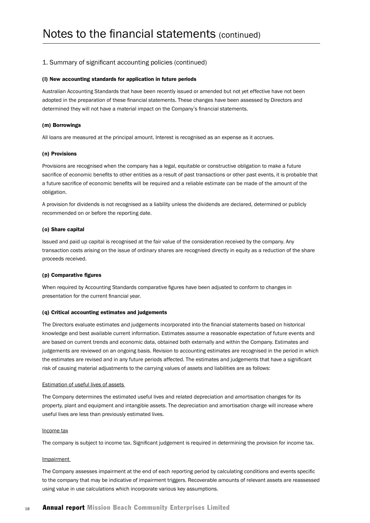#### (l) New accounting standards for application in future periods

Australian Accounting Standards that have been recently issued or amended but not yet effective have not been adopted in the preparation of these financial statements. These changes have been assessed by Directors and determined they will not have a material impact on the Company's financial statements.

#### (m) Borrowings

All loans are measured at the principal amount. Interest is recognised as an expense as it accrues.

#### (n) Provisions

Provisions are recognised when the company has a legal, equitable or constructive obligation to make a future sacrifice of economic benefits to other entities as a result of past transactions or other past events, it is probable that a future sacrifice of economic benefits will be required and a reliable estimate can be made of the amount of the obligation.

A provision for dividends is not recognised as a liability unless the dividends are declared, determined or publicly recommended on or before the reporting date.

#### (o) Share capital

Issued and paid up capital is recognised at the fair value of the consideration received by the company. Any transaction costs arising on the issue of ordinary shares are recognised directly in equity as a reduction of the share proceeds received.

#### (p) Comparative figures

When required by Accounting Standards comparative figures have been adjusted to conform to changes in presentation for the current financial year.

#### (q) Critical accounting estimates and judgements

The Directors evaluate estimates and judgements incorporated into the financial statements based on historical knowledge and best available current information. Estimates assume a reasonable expectation of future events and are based on current trends and economic data, obtained both externally and within the Company. Estimates and judgements are reviewed on an ongoing basis. Revision to accounting estimates are recognised in the period in which the estimates are revised and in any future periods affected. The estimates and judgements that have a significant risk of causing material adjustments to the carrying values of assets and liabilities are as follows:

#### Estimation of useful lives of assets

The Company determines the estimated useful lives and related depreciation and amortisation changes for its property, plant and equipment and intangible assets. The depreciation and amortisation charge will increase where useful lives are less than previously estimated lives.

#### Income tax

The company is subject to income tax. Significant judgement is required in determining the provision for income tax.

#### Impairment

The Company assesses impairment at the end of each reporting period by calculating conditions and events specific to the company that may be indicative of impairment triggers. Recoverable amounts of relevant assets are reassessed using value in use calculations which incorporate various key assumptions.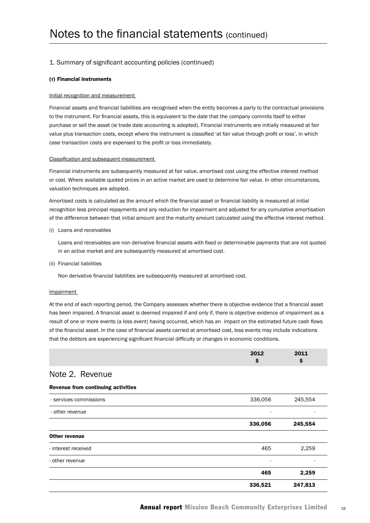#### (r) Financial instruments

#### Initial recognition and measurement

Financial assets and financial liabilities are recognised when the entity becomes a party to the contractual provisions to the instrument. For financial assets, this is equivalent to the date that the company commits itself to either purchase or sell the asset (ie trade date accounting is adopted). Financial instruments are initially measured at fair value plus transaction costs, except where the instrument is classified 'at fair value through profit or loss', in which case transaction costs are expensed to the profit or loss immediately.

#### Classification and subsequent measurement

Financial instruments are subsequently measured at fair value, amortised cost using the effective interest method or cost. Where available quoted prices in an active market are used to determine fair value. In other circumstances, valuation techniques are adopted.

Amortised costs is calculated as the amount which the financial asset or financial liability is measured at initial recognition less principal repayments and any reduction for impairment and adjusted for any cumulative amortisation of the difference between that initial amount and the maturity amount calculated using the effective interest method.

#### (i) Loans and receivables

Loans and receivables are non derivative financial assets with fixed or determinable payments that are not quoted in an active market and are subsequently measured at amortised cost.

#### (ii) Financial liabilities

Non derivative financial liabilities are subsequently measured at amortised cost.

#### Impairment

At the end of each reporting period, the Company assesses whether there is objective evidence that a financial asset has been impaired. A financial asset is deemed impaired if and only if, there is objective evidence of impairment as a result of one or more events (a loss event) having occurred, which has an impact on the estimated future cash flows of the financial asset. In the case of financial assets carried at amortised cost, loss events may include indications that the debtors are experiencing significant financial difficulty or changes in economic conditions.

| 2012   | 2011   |
|--------|--------|
| $\sim$ | ▴<br>Ð |

#### Note 2. Revenue

#### Revenue from continuing activities

| - services commissions | 336,056 | 245,554 |
|------------------------|---------|---------|
| - other revenue        | ٠       |         |
|                        | 336,056 | 245,554 |
| Other revenue          |         |         |
| - interest received    | 465     | 2,259   |
| - other revenue        | ۰       |         |
|                        | 465     | 2,259   |
|                        | 336,521 | 247,813 |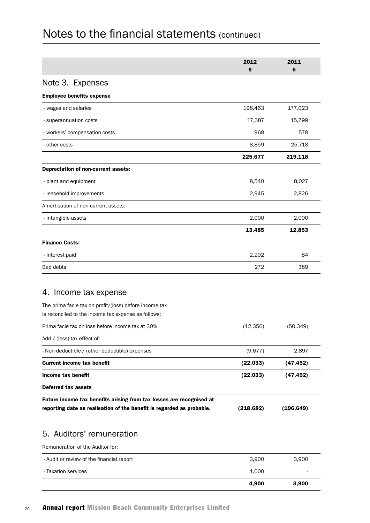## Notes to the financial statements (continued)

|                                                                                                                                               | 2012<br>s  | 2011<br>\$ |
|-----------------------------------------------------------------------------------------------------------------------------------------------|------------|------------|
| Note 3. Expenses                                                                                                                              |            |            |
| <b>Employee benefits expense</b>                                                                                                              |            |            |
| - wages and salaries                                                                                                                          | 198,463    | 177,023    |
| - superannuation costs                                                                                                                        | 17,387     | 15,799     |
| - workers' compensation costs                                                                                                                 | 968        | 578        |
| - other costs                                                                                                                                 | 8,859      | 25,718     |
|                                                                                                                                               | 225,677    | 219,118    |
| Depreciation of non-current assets:                                                                                                           |            |            |
| - plant and equipment                                                                                                                         | 8,540      | 8,027      |
| - leasehold improvements                                                                                                                      | 2,945      | 2,826      |
| Amortisation of non-current assets:                                                                                                           |            |            |
| - intangible assets                                                                                                                           | 2,000      | 2,000      |
|                                                                                                                                               | 13,485     | 12,853     |
| <b>Finance Costs:</b>                                                                                                                         |            |            |
| - Interest paid                                                                                                                               | 2,202      | 84         |
| <b>Bad debts</b>                                                                                                                              | 272        | 389        |
| 4. Income tax expense<br>The prima facie tax on profit/(loss) before income tax<br>is reconciled to the income tax expense as follows:        |            |            |
| Prima facie tax on loss before income tax at 30%                                                                                              | (12, 356)  | (50, 349)  |
| Add / (less) tax effect of:                                                                                                                   |            |            |
| - Non-deductible / (other deductible) expenses                                                                                                | (9,677)    | 2,897      |
| <b>Current income tax benefit</b>                                                                                                             | (22, 033)  | (47, 452)  |
| Income tax benefit                                                                                                                            | (22, 033)  | (47, 452)  |
| <b>Deferred tax assets</b>                                                                                                                    |            |            |
| Future income tax benefits arising from tax losses are recognised at<br>reporting date as realisation of the benefit is regarded as probable. | (218, 682) | (196, 649) |

## 5. Auditors' remuneration

Remuneration of the Auditor for:

|                                           | 4.900 | 3,900  |
|-------------------------------------------|-------|--------|
| - Taxation services                       | 1.000 | $\sim$ |
| - Audit or review of the financial report | 3.900 | 3,900  |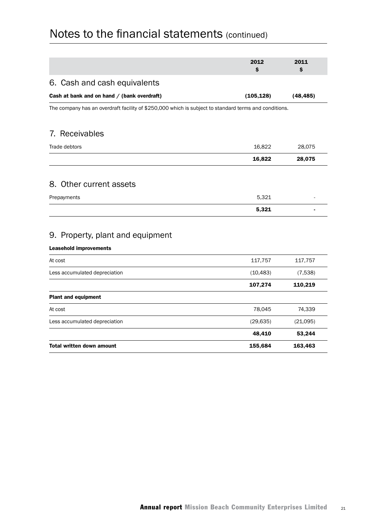| <b>NULCS LU LITE IIITATICIAI SLATETITETILS</b> (CONUNUED)                                             |            |            |
|-------------------------------------------------------------------------------------------------------|------------|------------|
|                                                                                                       |            |            |
|                                                                                                       | 2012<br>\$ | 2011<br>\$ |
| 6. Cash and cash equivalents                                                                          |            |            |
| Cash at bank and on hand / (bank overdraft)                                                           | (105, 128) | (48, 485)  |
| The company has an overdraft facility of \$250,000 which is subject to standard terms and conditions. |            |            |
|                                                                                                       |            |            |
| Receivables<br>7.                                                                                     |            |            |
| Trade debtors                                                                                         | 16,822     | 28,075     |
|                                                                                                       | 16,822     | 28,075     |
| 8. Other current assets                                                                               |            |            |
| Prepayments                                                                                           | 5,321      |            |
|                                                                                                       | 5,321      |            |
| 9. Property, plant and equipment                                                                      |            |            |
| <b>Leasehold improvements</b>                                                                         |            |            |
| At cost                                                                                               | 117,757    | 117,757    |
| Less accumulated depreciation                                                                         | (10, 483)  | (7,538)    |
|                                                                                                       | 107,274    | 110,219    |
| <b>Plant and equipment</b>                                                                            |            |            |

At cost **78,045** 78,045 74,339 Less accumulated depreciation (29,635) (21,095)

Total written down amount 155,684 163,463

## Notos to the financial statements (continued)

48,410 53,244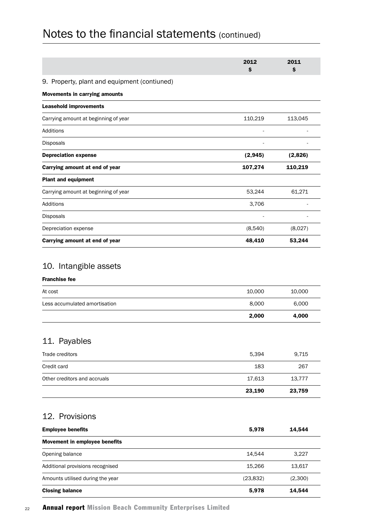## Notes to the financial statements (continued)

|                                              | 2012<br>S | 2011<br>\$ |
|----------------------------------------------|-----------|------------|
| 9. Property, plant and equipment (contiuned) |           |            |
| <b>Movements in carrying amounts</b>         |           |            |
| <b>Leasehold improvements</b>                |           |            |
| Carrying amount at beginning of year         | 110,219   | 113,045    |
| Additions                                    |           |            |
| <b>Disposals</b>                             |           |            |
| <b>Depreciation expense</b>                  | (2, 945)  | (2,826)    |
| Carrying amount at end of year               | 107,274   | 110,219    |
| <b>Plant and equipment</b>                   |           |            |
| Carrying amount at beginning of year         | 53,244    | 61,271     |
| Additions                                    | 3,706     |            |
| <b>Disposals</b>                             |           |            |
| Depreciation expense                         | (8,540)   | (8,027)    |
| Carrying amount at end of year               | 48,410    | 53,244     |

## 10. Intangible assets

#### Franchise fee

|                               | 2,000  | 4,000  |
|-------------------------------|--------|--------|
| Less accumulated amortisation | 8.000  | 6,000  |
| At cost                       | 10.000 | 10,000 |

## 11. Payables

|                              | 23,190 | 23,759 |
|------------------------------|--------|--------|
| Other creditors and accruals | 17.613 | 13.777 |
| Credit card                  | 183    | 267    |
| Trade creditors              | 5.394  | 9,715  |

## 12. Provisions

| <b>Employee benefits</b>         | 5,978     | 14,544  |
|----------------------------------|-----------|---------|
| Movement in employee benefits    |           |         |
| Opening balance                  | 14.544    | 3.227   |
| Additional provisions recognised | 15,266    | 13,617  |
| Amounts utilised during the year | (23, 832) | (2,300) |
| <b>Closing balance</b>           | 5,978     | 14,544  |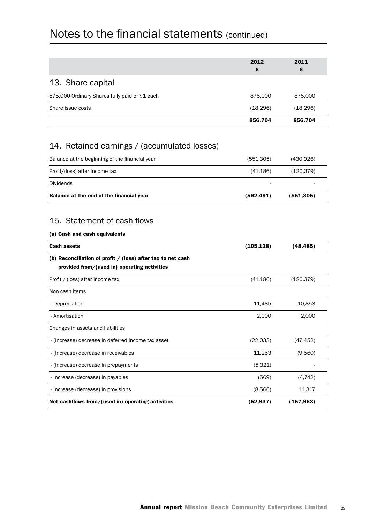## Notes to the financial statements (continued)

|                                                | 856,704    | 856,704    |
|------------------------------------------------|------------|------------|
| Share issue costs                              | (18, 296)  | (18, 296)  |
| 875,000 Ordinary Shares fully paid of \$1 each | 875,000    | 875,000    |
| 13. Share capital                              |            |            |
|                                                | 2012<br>\$ | 2011<br>\$ |
|                                                |            |            |

## 14. Retained earnings / (accumulated losses)

| Balance at the end of the financial year       | (592,491)  | (551, 305) |
|------------------------------------------------|------------|------------|
| <b>Dividends</b>                               |            |            |
| Profit/(loss) after income tax                 | (41, 186)  | (120.379)  |
| Balance at the beginning of the financial year | (551, 305) | (430.926)  |

## 15. Statement of cash flows

#### (a) Cash and cash equivalents

| <b>Cash assets</b>                                                                                            | (105, 128) | (48, 485)  |
|---------------------------------------------------------------------------------------------------------------|------------|------------|
| (b) Reconciliation of profit $/$ (loss) after tax to net cash<br>provided from/(used in) operating activities |            |            |
| Profit / (loss) after income tax                                                                              | (41, 186)  | (120, 379) |
| Non cash items                                                                                                |            |            |
| - Depreciation                                                                                                | 11,485     | 10,853     |
| - Amortisation                                                                                                | 2,000      | 2,000      |
| Changes in assets and liabilities                                                                             |            |            |
| - (Increase) decrease in deferred income tax asset                                                            | (22, 033)  | (47, 452)  |
| - (Increase) decrease in receivables                                                                          | 11,253     | (9,560)    |
| - (Increase) decrease in prepayments                                                                          | (5,321)    |            |
| - Increase (decrease) in payables                                                                             | (569)      | (4, 742)   |
| - Increase (decrease) in provisions                                                                           | (8,566)    | 11,317     |
| Net cashflows from/(used in) operating activities                                                             | (52, 937)  | (157, 963) |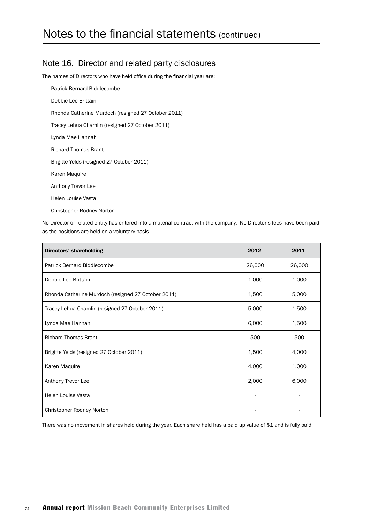### Note 16. Director and related party disclosures

The names of Directors who have held office during the financial year are:

Patrick Bernard Biddlecombe Debbie Lee Brittain Rhonda Catherine Murdoch (resigned 27 October 2011) Tracey Lehua Chamlin (resigned 27 October 2011) Lynda Mae Hannah Richard Thomas Brant

Brigitte Yelds (resigned 27 October 2011)

Karen Maquire

Anthony Trevor Lee

Helen Louise Vasta

Christopher Rodney Norton

No Director or related entity has entered into a material contract with the company. No Director's fees have been paid as the positions are held on a voluntary basis.

| Directors' shareholding                             | 2012                     | 2011   |
|-----------------------------------------------------|--------------------------|--------|
| Patrick Bernard Biddlecombe                         | 26,000                   | 26,000 |
| Debbie Lee Brittain                                 | 1,000                    | 1,000  |
| Rhonda Catherine Murdoch (resigned 27 October 2011) | 1,500                    | 5,000  |
| Tracey Lehua Chamlin (resigned 27 October 2011)     | 5,000                    | 1,500  |
| Lynda Mae Hannah                                    | 6,000                    | 1,500  |
| <b>Richard Thomas Brant</b>                         | 500                      | 500    |
| Brigitte Yelds (resigned 27 October 2011)           | 1,500                    | 4,000  |
| Karen Maquire                                       | 4,000                    | 1,000  |
| Anthony Trevor Lee                                  | 2,000                    | 6,000  |
| Helen Louise Vasta                                  | $\overline{\phantom{a}}$ |        |
| <b>Christopher Rodney Norton</b>                    |                          |        |

There was no movement in shares held during the year. Each share held has a paid up value of \$1 and is fully paid.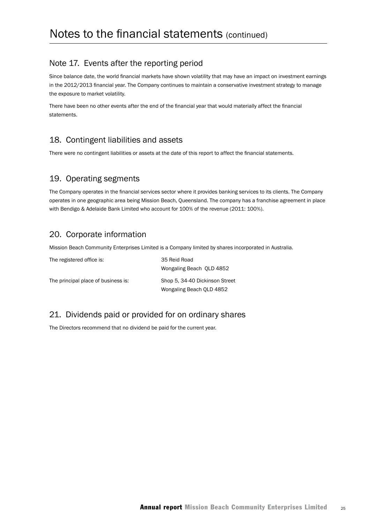### Note 17. Events after the reporting period

Since balance date, the world financial markets have shown volatility that may have an impact on investment earnings in the 2012/2013 financial year. The Company continues to maintain a conservative investment strategy to manage the exposure to market volatility.

There have been no other events after the end of the financial year that would materially affect the financial statements.

## 18. Contingent liabilities and assets

There were no contingent liabilities or assets at the date of this report to affect the financial statements.

## 19. Operating segments

The Company operates in the financial services sector where it provides banking services to its clients. The Company operates in one geographic area being Mission Beach, Queensland. The company has a franchise agreement in place with Bendigo & Adelaide Bank Limited who account for 100% of the revenue (2011: 100%).

## 20. Corporate information

Mission Beach Community Enterprises Limited is a Company limited by shares incorporated in Australia.

| The registered office is:           | 35 Reid Road                   |
|-------------------------------------|--------------------------------|
|                                     | Wongaling Beach QLD 4852       |
| The principal place of business is: | Shop 5, 34-40 Dickinson Street |
|                                     | Wongaling Beach QLD 4852       |

## 21. Dividends paid or provided for on ordinary shares

The Directors recommend that no dividend be paid for the current year.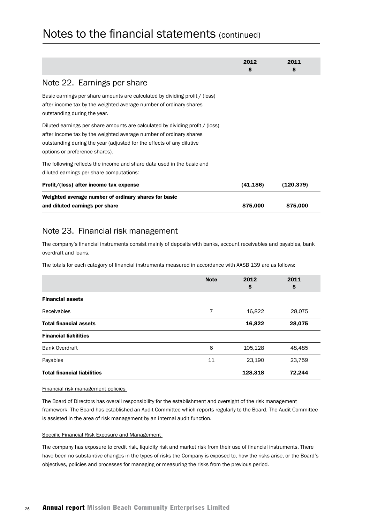## Notes to the financial statements (continued)

|                                                                                                                                                                                                                                                                | 2012<br>\$ | 2011<br>\$ |
|----------------------------------------------------------------------------------------------------------------------------------------------------------------------------------------------------------------------------------------------------------------|------------|------------|
| Note 22. Earnings per share                                                                                                                                                                                                                                    |            |            |
| Basic earnings per share amounts are calculated by dividing profit / (loss)<br>after income tax by the weighted average number of ordinary shares<br>outstanding during the year.                                                                              |            |            |
| Diluted earnings per share amounts are calculated by dividing profit / (loss)<br>after income tax by the weighted average number of ordinary shares<br>outstanding during the year (adjusted for the effects of any dilutive<br>options or preference shares). |            |            |
| The following reflects the income and share data used in the basic and<br>diluted earnings per share computations:                                                                                                                                             |            |            |
| Profit/(loss) after income tax expense                                                                                                                                                                                                                         | (41, 186)  | (120, 379) |
| Weighted average number of ordinary shares for basic                                                                                                                                                                                                           |            |            |

### Note 23. Financial risk management

The company's financial instruments consist mainly of deposits with banks, account receivables and payables, bank overdraft and loans.

and diluted earnings per share **875,000** 875,000

The totals for each category of financial instruments measured in accordance with AASB 139 are as follows:

|                                    | <b>Note</b> | 2012<br>\$ | 2011<br>\$ |
|------------------------------------|-------------|------------|------------|
| <b>Financial assets</b>            |             |            |            |
| <b>Receivables</b>                 | 7           | 16,822     | 28,075     |
| <b>Total financial assets</b>      |             | 16,822     | 28,075     |
| <b>Financial liabilities</b>       |             |            |            |
| <b>Bank Overdraft</b>              | 6           | 105,128    | 48,485     |
| Payables                           | 11          | 23,190     | 23,759     |
| <b>Total financial liabilities</b> |             | 128,318    | 72,244     |

Financial risk management policies

The Board of Directors has overall responsibility for the establishment and oversight of the risk management framework. The Board has established an Audit Committee which reports regularly to the Board. The Audit Committee is assisted in the area of risk management by an internal audit function.

#### Specific Financial Risk Exposure and Management

The company has exposure to credit risk, liquidity risk and market risk from their use of financial instruments. There have been no substantive changes in the types of risks the Company is exposed to, how the risks arise, or the Board's objectives, policies and processes for managing or measuring the risks from the previous period.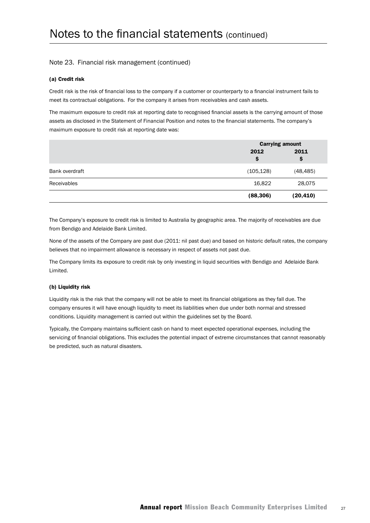#### (a) Credit risk

Credit risk is the risk of financial loss to the company if a customer or counterparty to a financial instrument fails to meet its contractual obligations. For the company it arises from receivables and cash assets.

The maximum exposure to credit risk at reporting date to recognised financial assets is the carrying amount of those assets as disclosed in the Statement of Financial Position and notes to the financial statements. The company's maximum exposure to credit risk at reporting date was:

|                |            | <b>Carrying amount</b> |  |
|----------------|------------|------------------------|--|
|                | 2012<br>\$ | 2011<br>\$             |  |
| Bank overdraft | (105, 128) | (48, 485)              |  |
| Receivables    | 16,822     | 28,075                 |  |
|                | (88, 306)  | (20, 410)              |  |

The Company's exposure to credit risk is limited to Australia by geographic area. The majority of receivables are due from Bendigo and Adelaide Bank Limited.

None of the assets of the Company are past due (2011: nil past due) and based on historic default rates, the company believes that no impairment allowance is necessary in respect of assets not past due.

The Company limits its exposure to credit risk by only investing in liquid securities with Bendigo and Adelaide Bank Limited.

#### (b) Liquidity risk

Liquidity risk is the risk that the company will not be able to meet its financial obligations as they fall due. The company ensures it will have enough liquidity to meet its liabilities when due under both normal and stressed conditions. Liquidity management is carried out within the guidelines set by the Board.

Typically, the Company maintains sufficient cash on hand to meet expected operational expenses, including the servicing of financial obligations. This excludes the potential impact of extreme circumstances that cannot reasonably be predicted, such as natural disasters.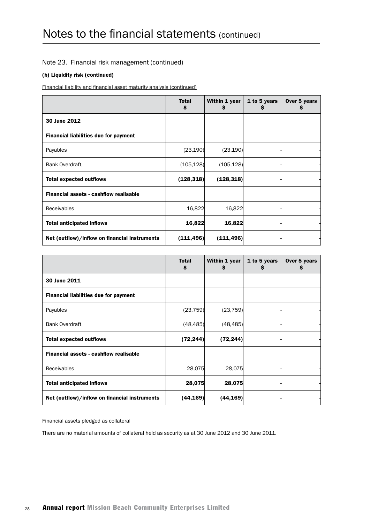#### (b) Liquidity risk (continued)

Financial liability and financial asset maturity analysis (continued)

|                                               | <b>Total</b><br>\$ | Within 1 year $ $<br>S | 1 to 5 years<br>s | Over 5 years<br>s |
|-----------------------------------------------|--------------------|------------------------|-------------------|-------------------|
| 30 June 2012                                  |                    |                        |                   |                   |
| <b>Financial liabilities due for payment</b>  |                    |                        |                   |                   |
| Payables                                      | (23, 190)          | (23, 190)              |                   |                   |
| <b>Bank Overdraft</b>                         | (105, 128)         | (105, 128)             |                   |                   |
| <b>Total expected outflows</b>                | (128, 318)         | (128, 318)             |                   |                   |
| Financial assets - cashflow realisable        |                    |                        |                   |                   |
| Receivables                                   | 16,822             | 16,822                 |                   |                   |
| <b>Total anticipated inflows</b>              | 16,822             | 16,822                 |                   |                   |
| Net (outflow)/inflow on financial instruments | (111, 496)         | (111, 496)             |                   |                   |

|                                               | <b>Total</b><br>s | Within 1 year<br>\$. | 1 to 5 years<br>Ş | Over 5 years<br>Ş |
|-----------------------------------------------|-------------------|----------------------|-------------------|-------------------|
| 30 June 2011                                  |                   |                      |                   |                   |
| <b>Financial liabilities due for payment</b>  |                   |                      |                   |                   |
| Payables                                      | (23, 759)         | (23, 759)            |                   |                   |
| <b>Bank Overdraft</b>                         | (48, 485)         | (48, 485)            |                   |                   |
| <b>Total expected outflows</b>                | (72, 244)         | (72, 244)            |                   |                   |
| Financial assets - cashflow realisable        |                   |                      |                   |                   |
| Receivables                                   | 28,075            | 28,075               |                   |                   |
| <b>Total anticipated inflows</b>              | 28,075            | 28,075               |                   |                   |
| Net (outflow)/inflow on financial instruments | (44, 169)         | (44, 169)            |                   |                   |

#### Financial assets pledged as collateral

There are no material amounts of collateral held as security as at 30 June 2012 and 30 June 2011.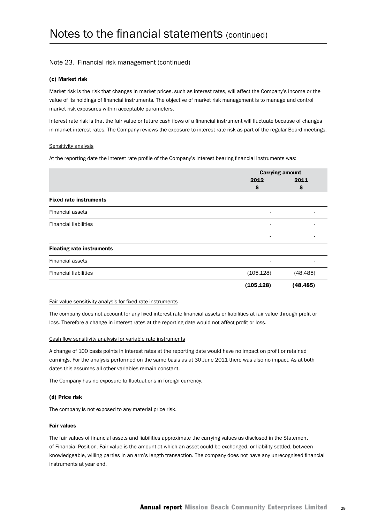#### (c) Market risk

Market risk is the risk that changes in market prices, such as interest rates, will affect the Company's income or the value of its holdings of financial instruments. The objective of market risk management is to manage and control market risk exposures within acceptable parameters.

Interest rate risk is that the fair value or future cash flows of a financial instrument will fluctuate because of changes in market interest rates. The Company reviews the exposure to interest rate risk as part of the regular Board meetings.

#### Sensitivity analysis

At the reporting date the interest rate profile of the Company's interest bearing financial instruments was:

|                                  | <b>Carrying amount</b><br>2012<br>\$ | 2011<br>\$ |
|----------------------------------|--------------------------------------|------------|
| <b>Fixed rate instruments</b>    |                                      |            |
| <b>Financial assets</b>          | $\overline{\phantom{a}}$             |            |
| <b>Financial liabilities</b>     | $\overline{\phantom{a}}$             |            |
|                                  | ۰                                    |            |
| <b>Floating rate instruments</b> |                                      |            |
| <b>Financial assets</b>          | ۰                                    |            |
| <b>Financial liabilities</b>     | (105, 128)                           | (48, 485)  |
|                                  | (105, 128)                           | (48, 485)  |

#### Fair value sensitivity analysis for fixed rate instruments

The company does not account for any fixed interest rate financial assets or liabilities at fair value through profit or loss. Therefore a change in interest rates at the reporting date would not affect profit or loss.

#### Cash flow sensitivity analysis for variable rate instruments

A change of 100 basis points in interest rates at the reporting date would have no impact on profit or retained earnings. For the analysis performed on the same basis as at 30 June 2011 there was also no impact. As at both dates this assumes all other variables remain constant.

The Company has no exposure to fluctuations in foreign currency.

#### (d) Price risk

The company is not exposed to any material price risk.

#### Fair values

The fair values of financial assets and liabilities approximate the carrying values as disclosed in the Statement of Financial Position. Fair value is the amount at which an asset could be exchanged, or liability settled, between knowledgeable, willing parties in an arm's length transaction. The company does not have any unrecognised financial instruments at year end.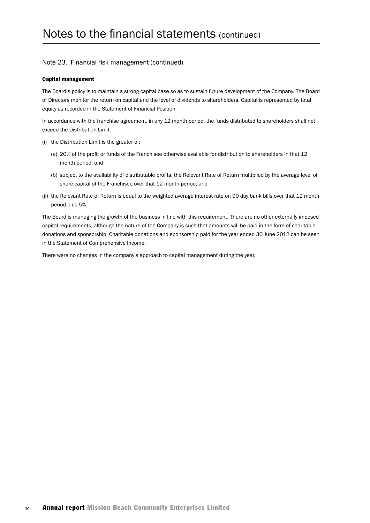#### Capital management

The Board's policy is to maintain a strong capital base so as to sustain future development of the Company. The Board of Directors monitor the return on capital and the level of dividends to shareholders. Capital is represented by total equity as recorded in the Statement of Financial Position.

In accordance with the franchise agreement, in any 12 month period, the funds distributed to shareholders shall not exceed the Distribution Limit.

- (i) the Distribution Limit is the greater of:
	- (a) 20% of the profit or funds of the Franchisee otherwise available for distribution to shareholders in that 12 month period; and
	- (b) subject to the availability of distributable profits, the Relevant Rate of Return multiplied by the average level of share capital of the Franchisee over that 12 month period; and
- (ii) the Relevant Rate of Return is equal to the weighted average interest rate on 90 day bank bills over that 12 month period plus 5%.

The Board is managing the growth of the business in line with this requirement. There are no other externally imposed capital requirements, although the nature of the Company is such that amounts will be paid in the form of charitable donations and sponsorship. Charitable donations and sponsorship paid for the year ended 30 June 2012 can be seen in the Statement of Comprehensive Income.

There were no changes in the company's approach to capital management during the year.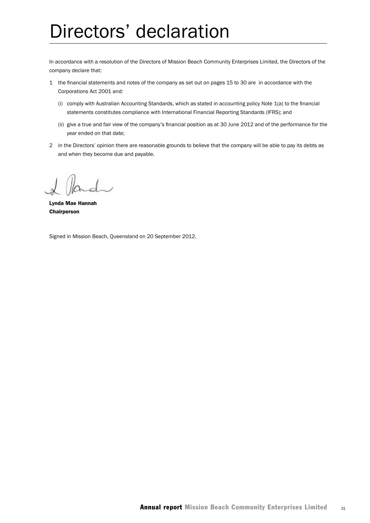## Directors' declaration

In accordance with a resolution of the Directors of Mission Beach Community Enterprises Limited, the Directors of the company declare that:

- 1 the financial statements and notes of the company as set out on pages 15 to 30 are in accordance with the Corporations Act 2001 and:
	- (i) comply with Australian Accounting Standards, which as stated in accounting policy Note 1(a) to the financial statements constitutes compliance with International Financial Reporting Standards (IFRS); and
	- (ii) give a true and fair view of the company's financial position as at 30 June 2012 and of the performance for the year ended on that date;
- 2 in the Directors' opinion there are reasonable grounds to believe that the company will be able to pay its debts as and when they become due and payable.

Lynda Mae Hannah Chairperson

Signed in Mission Beach, Queensland on 20 September 2012.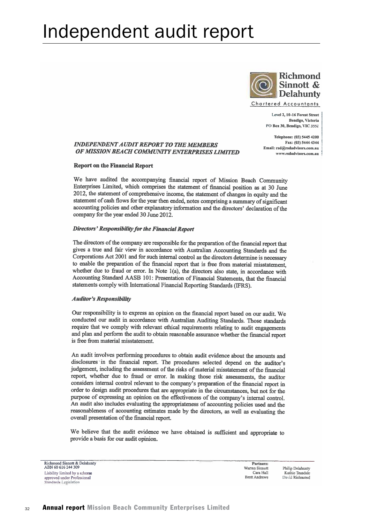## Independent audit report



**Chartered Accountants** 

Level 2, 10-16 Forest Street Bendigo, Victoria PO Box 30, Bendigo, VIC 3552

Telephone: (03) 5445 4200 Fax: (03) 5444 4344 Email: rsd@rsdadvisors.com.au www.rsdadvisors.com.au

#### **INDEPENDENT AUDIT REPORT TO THE MEMBERS** OF MISSION BEACH COMMUNITY ENTERPRISES LIMITED

#### **Report on the Financial Report**

We have audited the accompanying financial report of Mission Beach Community Enterprises Limited, which comprises the statement of financial position as at 30 June 2012, the statement of comprehensive income, the statement of changes in equity and the statement of cash flows for the year then ended, notes comprising a summary of significant accounting policies and other explanatory information and the directors' declaration of the company for the year ended 30 June 2012.

#### **Directors' Responsibility for the Financial Report**

The directors of the company are responsible for the preparation of the financial report that gives a true and fair view in accordance with Australian Accounting Standards and the Corporations Act 2001 and for such internal control as the directors determine is necessary to enable the preparation of the financial report that is free from material misstatement, whether due to fraud or error. In Note  $1(a)$ , the directors also state, in accordance with Accounting Standard AASB 101: Presentation of Financial Statements, that the financial statements comply with International Financial Reporting Standards (IFRS).

#### **Auditor's Responsibility**

Our responsibility is to express an opinion on the financial report based on our audit. We conducted our audit in accordance with Australian Auditing Standards. Those standards require that we comply with relevant ethical requirements relating to audit engagements and plan and perform the audit to obtain reasonable assurance whether the financial report is free from material misstatement.

An audit involves performing procedures to obtain audit evidence about the amounts and disclosures in the financial report. The procedures selected depend on the auditor's judgement, including the assessment of the risks of material misstatement of the financial report, whether due to fraud or error. In making those risk assessments, the auditor considers internal control relevant to the company's preparation of the financial report in order to design audit procedures that are appropriate in the circumstances, but not for the purpose of expressing an opinion on the effectiveness of the company's internal control. An audit also includes evaluating the appropriateness of accounting policies used and the reasonableness of accounting estimates made by the directors, as well as evaluating the overall presentation of the financial report.

We believe that the audit evidence we have obtained is sufficient and appropriate to provide a basis for our audit opinion.

Richmond Sinnott & Delahunty ABN 60 616 244 309 Liability limited by a scheme approved under Professional Standards Legislation

Partners: Warren Sinnott Cara Hall **Brett Andrews** 

Philip Delahunty Kathie Teasdale David Richmond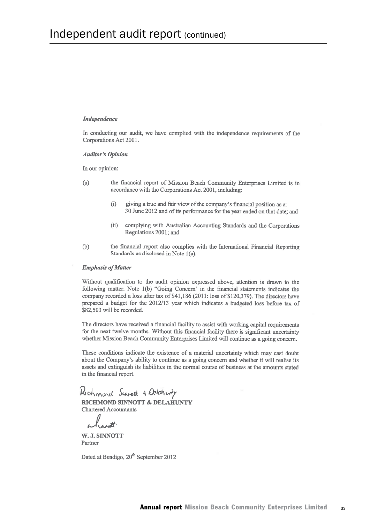#### **Independence**

In conducting our audit, we have complied with the independence requirements of the Corporations Act 2001.

#### **Auditor's Opinion**

In our opinion:

- the financial report of Mission Beach Community Enterprises Limited is in  $(a)$ accordance with the Corporations Act 2001, including:
	- $(i)$ giving a true and fair view of the company's financial position as at 30 June 2012 and of its performance for the year ended on that date; and
	- $(ii)$ complying with Australian Accounting Standards and the Corporations Regulations 2001; and
- the financial report also complies with the International Financial Reporting  $(b)$ Standards as disclosed in Note 1(a).

#### **Emphasis of Matter**

Without qualification to the audit opinion expressed above, attention is drawn to the following matter. Note 1(b) "Going Concern' in the financial statements indicates the company recorded a loss after tax of \$41,186 (2011: loss of \$120,379). The directors have prepared a budget for the 2012/13 year which indicates a budgeted loss before tax of \$82,503 will be recorded.

The directors have received a financial facility to assist with working capital requirements for the next twelve months. Without this financial facility there is significant uncertainty whether Mission Beach Community Enterprises Limited will continue as a going concern.

These conditions indicate the existence of a material uncertainty which may cast doubt about the Company's ability to continue as a going concern and whether it will realise its assets and extinguish its liabilities in the normal course of business at the amounts stated in the financial report.

Richmond Survett & Delahundy RICHMOND SINNOTT & DELAHUNTY

**Chartered Accountants** 

ustl

W. J. SINNOTT Partner

Dated at Bendigo, 20<sup>th</sup> September 2012